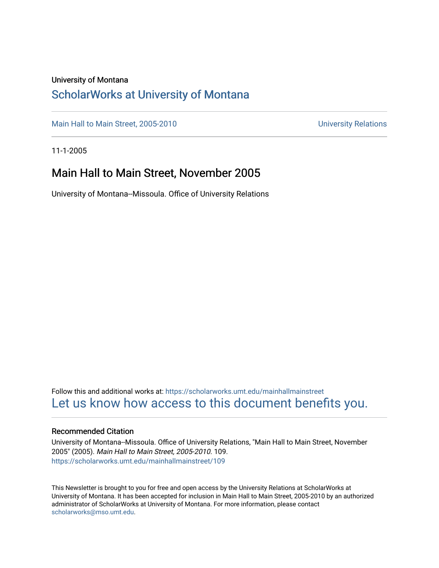#### University of Montana

### [ScholarWorks at University of Montana](https://scholarworks.umt.edu/)

[Main Hall to Main Street, 2005-2010](https://scholarworks.umt.edu/mainhallmainstreet) Main Hall to Main Street, 2005-2010

11-1-2005

### Main Hall to Main Street, November 2005

University of Montana--Missoula. Office of University Relations

Follow this and additional works at: [https://scholarworks.umt.edu/mainhallmainstreet](https://scholarworks.umt.edu/mainhallmainstreet?utm_source=scholarworks.umt.edu%2Fmainhallmainstreet%2F109&utm_medium=PDF&utm_campaign=PDFCoverPages) [Let us know how access to this document benefits you.](https://goo.gl/forms/s2rGfXOLzz71qgsB2) 

#### Recommended Citation

University of Montana--Missoula. Office of University Relations, "Main Hall to Main Street, November 2005" (2005). Main Hall to Main Street, 2005-2010. 109. [https://scholarworks.umt.edu/mainhallmainstreet/109](https://scholarworks.umt.edu/mainhallmainstreet/109?utm_source=scholarworks.umt.edu%2Fmainhallmainstreet%2F109&utm_medium=PDF&utm_campaign=PDFCoverPages)

This Newsletter is brought to you for free and open access by the University Relations at ScholarWorks at University of Montana. It has been accepted for inclusion in Main Hall to Main Street, 2005-2010 by an authorized administrator of ScholarWorks at University of Montana. For more information, please contact [scholarworks@mso.umt.edu.](mailto:scholarworks@mso.umt.edu)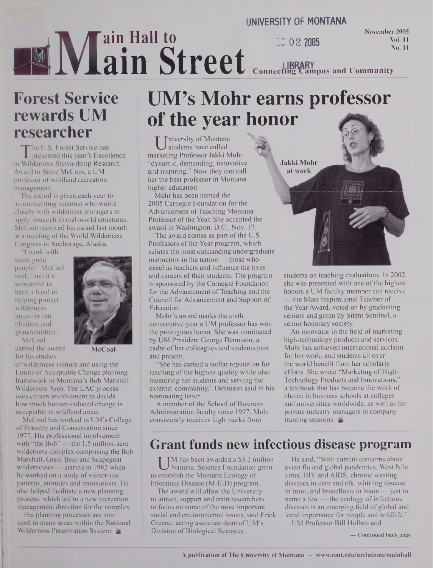### **UNIVERSITY OF MONTANA ME**<br>Exervic **ain Hall to ain Street \_ ZC 02 <sup>2005</sup> November 2005 ConncctjngCanipus and Community**

## **Forest Service rewards UM researcher**

The U.S. Forest Service has<br>presented this year's Excellence<br>Wilderness Stewardship Research The U.S. Forest Service has **I** presented this year's Excellence Award to Steve McCool, a UM professor of wildland recreation management.

The award is given each year to an outstanding scientist who works closely with wilderness managers to apply research to real-world situations. McCool received his award last month at a meeting of the World Wilderness Congress in Anchorage, Alaska.

"I work with some great people," McCool said, "and it's wonderful to have a hand in helping protect wilderness areas for our children and grandchildren." McCool



earned the award for his studies

**McCool**

of wilderness visitors and using the Limits of Acceptable Change planning framework in Montana's Bob Marshall Wilderness Area. The LAC process uses citizen involvement to decide how much human-induced change is acceptable in wildland areas.

McCool has worked in UM's College of Forestry and Conservation since 1977. His professional involvement with "the Bob" — the 1.5 million-acre wilderness complex comprising the Bob Marshall, Great Bear and Scapegoat wildernesses — started in 1982 when he worked on a study of visitor-use patterns, attitudes and motivations. He also helped facilitate a new planning process, which led to a new recreation management direction for the complex.

His planning processes are now used in many areas within the National Wilderness Preservation System,  $\approx$ 

# **UM's Mohr earns professor of the year honor**

U niversity of Montana<br>students have called<br>arketing Professor Jakki Mohr **Tniversity of Montana** students have called "dynamic, demanding, innovative and inspiring." Now they can call her the best professor in Montana higher education.

Mohr has been named the 2005 Carnegie Foundation for the Advancement of Teaching Montana Professor of the Year. She accepted the award in Washington, D.C., Nov. 17.

The award comes as part of the U.S. Professors of the Year program, which salutes the most outstanding undergraduate instructors in the nation — those who excel as teachers and influence the lives and careers of their students. The program is sponsored by the Carnegie Foundation for the Advancement of Teaching and the Council for Advancement and Support of Education.

Mohr's award marks the sixth consecutive year a UM professor has won the prestigious honor. She was nominated by UM President George Dennison, a cadre of her colleagues and students past and present.

"She has earned a stellar reputation for teaching of the highest quality while also mentoring her students and serving the external community," Dennison said in his nominating letter.

A member of the School of Business Administration faculty since 1997, Mohr consistently receives high marks from

**Jakki Mohr** at work

students on teaching evaluations. In 2002 she was presented with one of the highest honors a UM faculty member can receive the Most Inspirational Teacher of the Year Award, voted on by graduating seniors and given by Silent Sentinel, a senior honorary society.

**Vol. 11 No. 11**

An innovator in the field of marketing high-technology products and services, Mohr has achieved international acclaim for her work, and students all over the world benefit from her scholarly efforts. She wrote "Marketing of High-Technology Products and Innovations,' a textbook that has become the work of choice in business schools at colleges and universities worldwide, as well as for private industry managers in company training sessions.

## **Grant funds new infectious disease program**

U<sup>N</sup> has been awarded a 53.2 million<br>
establish the Montana Ecology of M has been awarded a \$3.2 million National Science Foundation grant Infectious Disease (M-EID) program.

The award will allow the University to attract, support and train researchers to focus on some of the most important social and environmental issues, said Erick Greene, acting associate dean of UM's Division of Biological Sciences.

He said, "With current concerns about avian flu and global pandemics, West Nile virus, HIV and AIDS, chronic wasting diseases in deer and elk, whirling disease in trout, and brucellosis in bison  $-$  just to name a few  $-$  the ecology of infectious diseases is an emerging field of global and local importance for people and wildlife."

UM Professor Bill Holben and

**— Continued back page**